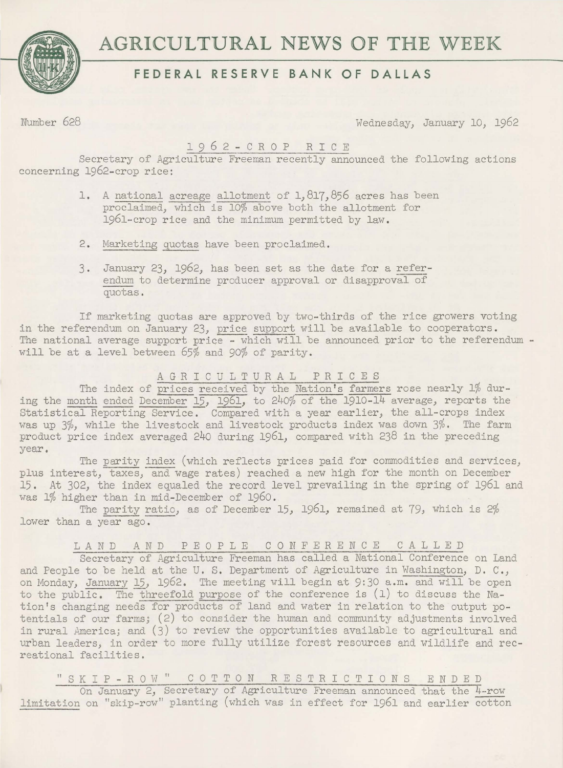

# **FEDERAL RESERVE BANK OF DALLAS**

Number 628 Wednesday, January 10, 1962

# 1962-CROP RICE

Secretary of Agriculture Freeman recently announced the following actions concerning 1962-crop rice:

- 1. A national acreage allotment of 1,817,856 acres has been proclaimed, which is 10% above both the allotment for 1961-crop rice and the minimum permitted by law.
- 2. Marketing quotas have been proclaimed.
- 3. January 23, 1962, has been set as the date for a referendum to determine producer approval or disapproval of quotas.

If marketing quotas are approved by two-thirds of the rice growers voting in the referendum on January 23, price support will be available to cooperators. The national average support price - which will be announced prior to the referendum  $$ will be at a level between 65% and 90% of parity.

# AGRICULTURAL PRICES

The index of prices received by the Nation's farmers rose nearly 1% during the month ended December 15, 1961, to 240% of the 1910-14 average, reports the Statistical Reporting Service. Compared with a year earlier, the all-crops index was up 3%, while the livestock and livestock products index was down 3%. The farm product price index averaged 240 during 1961, compared with 238 in the preceding year.

The parity index (which reflects prices paid for commodities and services, plus interest, taxes, and wage rates) reached a new high for the month on December 15. At 302, the index equaled the record level prevailing in the spring of 1961 and was 1% higher than in mid-December of 1960.

The parity ratio, as of December 15, 1961, remained at 79, which is 2% lower than a year ago.

LAND AND PEOPLE CONFERENCE CALLED

Secretary of Agriculture Freeman has called a National Conference on Land and People to be held at the U. S. Department of Agriculture in Washington, D. C., on Monday, January 15, 1962. The meeting will begin at 9:30 a.m. and will be open to the public. The threefold purpose of the conference is  $(1)$  to discuss the Nation's changing needs for products of land and water in relation to the output potentials of our farms; (2) to consider the human and community adjustments involved in rural America; and (3) to review the opportunities available to agricultural and urban leaders, in order to more fully utilize forest resources and wildlife and recreational facilities.

"SKIP-RO <sup>W</sup> " COTTON RESTRICTIONS ENDED On January 2, Secretary of Agriculture Freeman announced that the 4-row limitation on "skip-row" planting (which was in effect for 1961 and earlier cotton